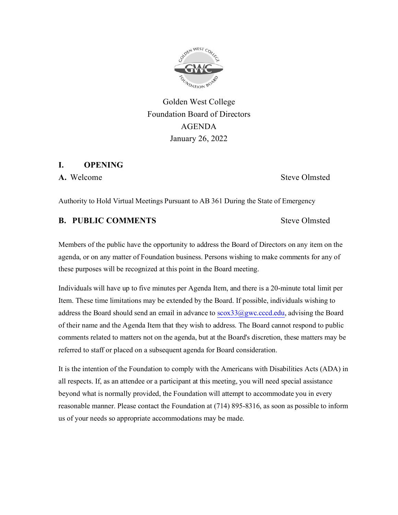

Golden West College Foundation Board of Directors AGENDA January 26, 2022

#### **I. OPENING**

A. Welcome Steve Olmsted

Authority to Hold Virtual Meetings Pursuant to AB 361 During the State of Emergency

### **B.** PUBLIC COMMENTS Steve Olmsted

Members of the public have the opportunity to address the Board of Directors on any item on the agenda, or on any matter of Foundation business. Persons wishing to make comments for any of these purposes will be recognized at this point in the Board meeting.

Individuals will have up to five minutes per Agenda Item, and there is a 20-minute total limit per Item. These time limitations may be extended by the Board. If possible, individuals wishing to address the Board should send an email in advance to  $scox33$ @gwc.cccd.edu, advising the Board of their name and the Agenda Item that they wish to address. The Board cannot respond to public comments related to matters not on the agenda, but at the Board's discretion, these matters may be referred to staff or placed on a subsequent agenda for Board consideration.

It is the intention of the Foundation to comply with the Americans with Disabilities Acts (ADA) in all respects. If, as an attendee or a participant at this meeting, you will need special assistance beyond what is normally provided, the Foundation will attempt to accommodate you in every reasonable manner. Please contact the Foundation at (714) 895-8316, as soon as possible to inform us of your needs so appropriate accommodations may be made.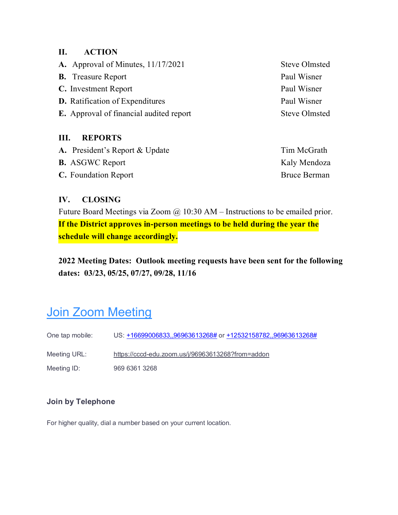### **II. ACTION**

| A. Approval of Minutes, $11/17/2021$           | <b>Steve Olmsted</b> |
|------------------------------------------------|----------------------|
| <b>B.</b> Treasure Report                      | Paul Wisner          |
| <b>C.</b> Investment Report                    | Paul Wisner          |
| <b>D.</b> Ratification of Expenditures         | Paul Wisner          |
| <b>E.</b> Approval of financial audited report | <b>Steve Olmsted</b> |
|                                                |                      |

### **III. REPORTS**

| A. President's Report & Update | Tim McGrath  |
|--------------------------------|--------------|
| <b>B.</b> ASGWC Report         | Kaly Mendoza |
| <b>C.</b> Foundation Report    | Bruce Berman |

## **IV. CLOSING**

Future Board Meetings via Zoom  $\omega$  10:30 AM – Instructions to be emailed prior. **If the District approves in-person meetings to be held during the year the schedule will change accordingly.**

**2022 Meeting Dates: Outlook meeting requests have been sent for the following dates: 03/23, 05/25, 07/27, 09/28, 11/16**

# **[Join Zoom Meeting](https://nam10.safelinks.protection.outlook.com/?url=https%3A%2F%2Fcccd-edu.zoom.us%2Fj%2F96963613268%3Ffrom%3Daddon&data=04%7C01%7Cscox33%40gwc.cccd.edu%7C80b6f2371aaf44411b6408d9db958a57%7Cee57f5551d704a8b8edac0f4071a4458%7C0%7C0%7C637782257583849520%7CUnknown%7CTWFpbGZsb3d8eyJWIjoiMC4wLjAwMDAiLCJQIjoiV2luMzIiLCJBTiI6Ik1haWwiLCJXVCI6Mn0%3D%7C3000&sdata=hmXoCXijorudIFFI4ki3xWS5enyTIbyogASI0u59Po0%3D&reserved=0)**

One tap mobile: US: [+16699006833,,96963613268#](tel:+16699006833,,96963613268) or [+12532158782,,96963613268#](tel:+12532158782,,96963613268) Meeting URL: [https://cccd-edu.zoom.us/j/96963613268?from=addon](https://nam10.safelinks.protection.outlook.com/?url=https%3A%2F%2Fcccd-edu.zoom.us%2Fj%2F96963613268%3Ffrom%3Daddon&data=04%7C01%7Cscox33%40gwc.cccd.edu%7C80b6f2371aaf44411b6408d9db958a57%7Cee57f5551d704a8b8edac0f4071a4458%7C0%7C0%7C637782257583849520%7CUnknown%7CTWFpbGZsb3d8eyJWIjoiMC4wLjAwMDAiLCJQIjoiV2luMzIiLCJBTiI6Ik1haWwiLCJXVCI6Mn0%3D%7C3000&sdata=hmXoCXijorudIFFI4ki3xWS5enyTIbyogASI0u59Po0%3D&reserved=0)

Meeting ID: 969 6361 3268

### **Join by Telephone**

For higher quality, dial a number based on your current location.